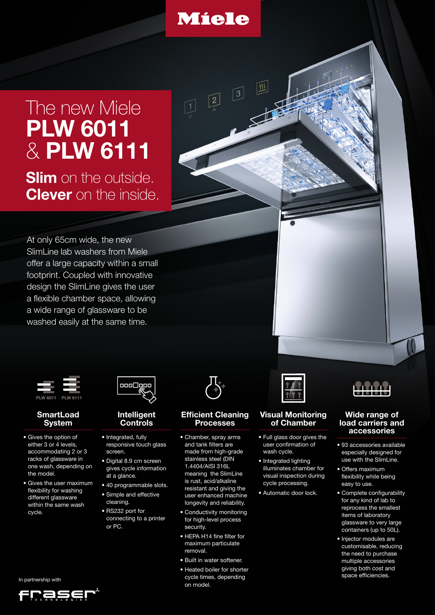

 $\lceil 2 \rceil$ 

 $\sqrt{35}$ 

 $\lceil 3 \rceil$ 

# The new Miele **PLW 6011**  & **PLW 6111**

**Slim** on the outside. **Clever** on the inside.

At only 65cm wide, the new SlimLine lab washers from Miele offer a large capacity within a small footprint. Coupled with innovative design the SlimLine gives the user a flexible chamber space, allowing a wide range of glassware to be washed easily at the same time.



#### **SmartLoad System**

- Gives the option of either 3 or 4 levels, accommodating 2 or 3 racks of glassware in one wash, depending on the model.
- Gives the user maximum flexibility for washing different glassware within the same wash cycle.



#### **Intelligent Controls**

- Integrated, fully responsive touch glass screen.
- Digital 8.9 cm screen gives cycle information at a glance.
- 40 programmable slots. • Simple and effective
- cleaning. • RS232 port for connecting to a printer or PC.



#### **Efficient Cleaning Processes**

- Chamber, spray arms and tank filters are made from high-grade stainless steel (DIN 1.4404/AISI 316L meaning the SlimLine is rust, acid/alkaline resistant and giving the user enhanced machine longevity and reliability.
- Conductivity monitoring for high-level process security.
- HEPA H14 fine filter for maximum particulate removal.
- Built in water softener.
- Heated boiler for shorter cycle times, depending on model.



#### **Visual Monitoring of Chamber**

- Full glass door gives the user confirmation of wash cycle.
- Integrated lighting illuminates chamber for visual inspection during cycle processing.
- Automatic door lock.



#### **Wide range of load carriers and accessories**

- 93 accessories available especially designed for use with the SlimLine.
- Offers maximum flexibility while being easy to use.
- Complete configurability for any kind of lab to reprocess the smallest items of laboratory glassware to very large containers (up to 50L).
- Injector modules are customisable, reducing the need to purchase multiple accessories giving both cost and space efficiencies.

In partnership with